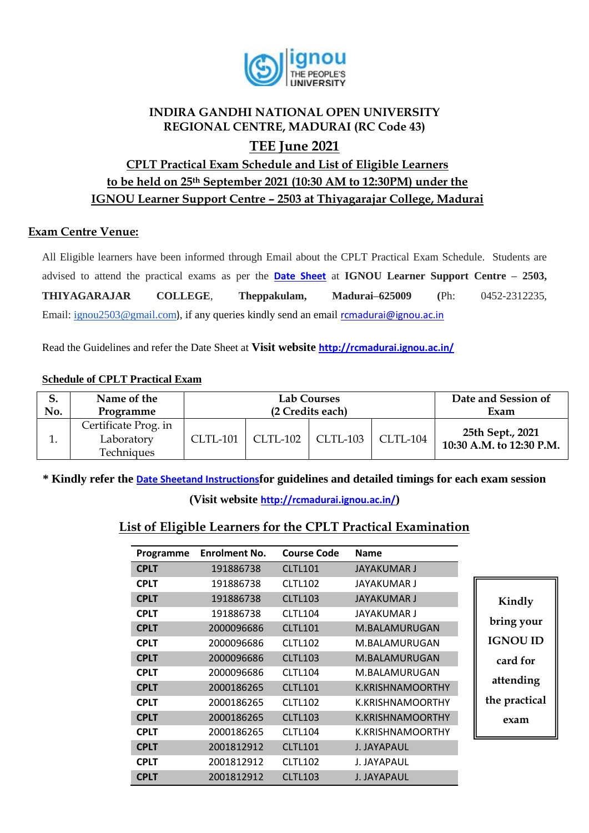

## **INDIRA GANDHI NATIONAL OPEN UNIVERSITY REGIONAL CENTRE, MADURAI (RC Code 43) TEE June 2021**

# **CPLT Practical Exam Schedule and List of Eligible Learners to be held on 25th September 2021 (10:30 AM to 12:30PM) under the IGNOU Learner Support Centre – 2503 at Thiyagarajar College, Madurai**

### **Exam Centre Venue:**

All Eligible learners have been informed through Email about the CPLT Practical Exam Schedule. Students are advised to attend the practical exams as per the **[Date Sheet](http://rcmadurai.ignou.ac.in/Ignou-RC-Madurai/userfiles/file/Guidelines%20for%20students%20of%20B_Sc_Practical_TEEDec20.pdf)** at **IGNOU Learner Support Centre – 2503, THIYAGARAJAR COLLEGE**, **Theppakulam, Madurai–625009 (**Ph: 0452-2312235, Email: [ignou2503@gmail.com](mailto:ignou2503@gmail.com)), if any queries kindly send an email [rcmadurai@ignou.ac.in](mailto:rcmadurai@ignou.ac.in)

Read the Guidelines and refer the Date Sheet at **Visit website <http://rcmadurai.ignou.ac.in/>**

#### **Schedule of CPLT Practical Exam**

|     | Name of the                                      |                 | <b>Lab Courses</b> | Date and Session of |                 |                                              |
|-----|--------------------------------------------------|-----------------|--------------------|---------------------|-----------------|----------------------------------------------|
| No. | Programme                                        |                 | (2 Credits each)   | Exam                |                 |                                              |
|     | Certificate Prog. in<br>Laboratory<br>Techniques | <b>CLTL-101</b> | CLTL-102           | $CLTL-103$          | <b>CLTL-104</b> | 25th Sept., 2021<br>10:30 A.M. to 12:30 P.M. |

**\* Kindly refer the [Date Sheetand Instructions](http://rcbijapur.ignou.ac.in/Ignou-RC-Bijapur/userfiles/file/guidelines%20for%20students%20of%20B_Sc_Programme.pdf)for guidelines and detailed timings for each exam session** 

**(Visit website <http://rcmadurai.ignou.ac.in/>)**

## **List of Eligible Learners for the CPLT Practical Examination**

| Programme   | <b>Enrolment No.</b> | <b>Course Code</b> | <b>Name</b>             |                 |
|-------------|----------------------|--------------------|-------------------------|-----------------|
| <b>CPLT</b> | 191886738            | <b>CLTL101</b>     | <b>JAYAKUMAR J</b>      |                 |
| <b>CPLT</b> | 191886738            | <b>CLTL102</b>     | <b>JAYAKUMAR J</b>      |                 |
| <b>CPLT</b> | 191886738            | <b>CLTL103</b>     | <b>JAYAKUMAR J</b>      | Kindly          |
| <b>CPLT</b> | 191886738            | <b>CLTL104</b>     | JAYAKUMAR J             |                 |
| <b>CPLT</b> | 2000096686           | <b>CLTL101</b>     | M.BALAMURUGAN           | bring your      |
| <b>CPLT</b> | 2000096686           | <b>CLTL102</b>     | M.BALAMURUGAN           | <b>IGNOU ID</b> |
| <b>CPLT</b> | 2000096686           | <b>CLTL103</b>     | M.BALAMURUGAN           | card for        |
| <b>CPLT</b> | 2000096686           | <b>CLTL104</b>     | M.BALAMURUGAN           |                 |
| <b>CPLT</b> | 2000186265           | <b>CLTL101</b>     | <b>K.KRISHNAMOORTHY</b> | attending       |
| <b>CPLT</b> | 2000186265           | <b>CLTL102</b>     | K.KRISHNAMOORTHY        | the practical   |
| <b>CPLT</b> | 2000186265           | <b>CLTL103</b>     | <b>K.KRISHNAMOORTHY</b> | exam            |
| <b>CPLT</b> | 2000186265           | CLTL104            | K.KRISHNAMOORTHY        |                 |
| <b>CPLT</b> | 2001812912           | <b>CLTL101</b>     | <b>J. JAYAPAUL</b>      |                 |
| <b>CPLT</b> | 2001812912           | <b>CLTL102</b>     | J. JAYAPAUL             |                 |
| <b>CPLT</b> | 2001812912           | <b>CLTL103</b>     | J. JAYAPAUL             |                 |